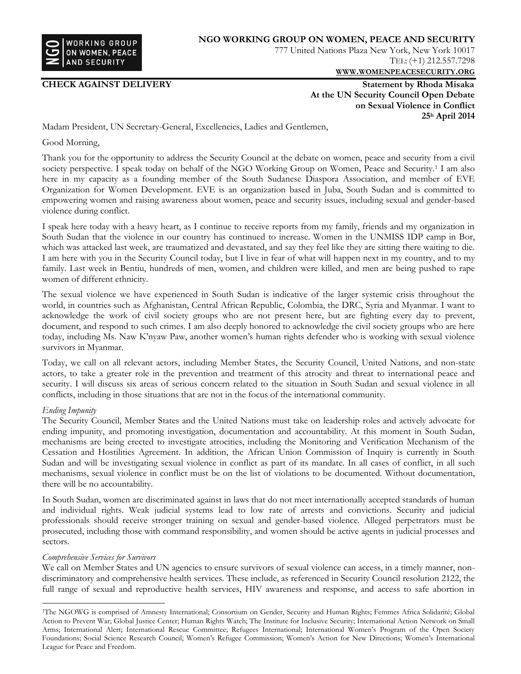

**CHECK AGAINST DELIVERY** Statement by Rhoda Misaka **At the UN Security Council Open Debate on Sexual Violence in Conflict 25<sup>h</sup> April 2014**

**WWW.[WOMENPEACESECURITY](http://www.womenpeacesecurity.org/).ORG**

TEL: (+1) 212.557.7298

Madam President, UN Secretary-General, Excellencies, Ladies and Gentlemen,

Good Morning,

Thank you for the opportunity to address the Security Council at the debate on women, peace and security from a civil society perspective. I speak today on behalf of the NGO Working Group on Women, Peace and Security.<sup>1</sup> I am also here in my capacity as a founding member of the South Sudanese Diaspora Association, and member of EVE Organization for Women Development. EVE is an organization based in Juba, South Sudan and is committed to empowering women and raising awareness about women, peace and security issues, including sexual and gender-based violence during conflict.

I speak here today with a heavy heart, as I continue to receive reports from my family, friends and my organization in South Sudan that the violence in our country has continued to increase. Women in the UNMISS IDP camp in Bor, which was attacked last week, are traumatized and devastated, and say they feel like they are sitting there waiting to die. I am here with you in the Security Council today, but I live in fear of what will happen next in my country, and to my family. Last week in Bentiu, hundreds of men, women, and children were killed, and men are being pushed to rape women of different ethnicity.

The sexual violence we have experienced in South Sudan is indicative of the larger systemic crisis throughout the world, in countries such as Afghanistan, Central African Republic, Colombia, the DRC, Syria and Myanmar. I want to acknowledge the work of civil society groups who are not present here, but are fighting every day to prevent, document, and respond to such crimes. I am also deeply honored to acknowledge the civil society groups who are here today, including Ms. Naw K'nyaw Paw, another women's human rights defender who is working with sexual violence survivors in Myanmar.

Today, we call on all relevant actors, including Member States, the Security Council, United Nations, and non-state actors, to take a greater role in the prevention and treatment of this atrocity and threat to international peace and security. I will discuss six areas of serious concern related to the situation in South Sudan and sexual violence in all conflicts, including in those situations that are not in the focus of the international community.

## *Ending Impunity*

 $\overline{a}$ 

The Security Council, Member States and the United Nations must take on leadership roles and actively advocate for ending impunity, and promoting investigation, documentation and accountability. At this moment in South Sudan, mechanisms are being erected to investigate atrocities, including the Monitoring and Verification Mechanism of the Cessation and Hostilities Agreement. In addition, the African Union Commission of Inquiry is currently in South Sudan and will be investigating sexual violence in conflict as part of its mandate. In all cases of conflict, in all such mechanisms, sexual violence in conflict must be on the list of violations to be documented. Without documentation, there will be no accountability.

In South Sudan, women are discriminated against in laws that do not meet internationally accepted standards of human and individual rights. Weak judicial systems lead to low rate of arrests and convictions. Security and judicial professionals should receive stronger training on sexual and gender-based violence. Alleged perpetrators must be prosecuted, including those with command responsibility, and women should be active agents in judicial processes and sectors.

## *Comprehensive Services for Survivors*

We call on Member States and UN agencies to ensure survivors of sexual violence can access, in a timely manner, nondiscriminatory and comprehensive health services. These include, as referenced in Security Council resolution 2122, the full range of sexual and reproductive health services, HIV awareness and response, and access to safe abortion in

<sup>1</sup>The NGOWG is comprised of Amnesty International; Consortium on Gender, Security and Human Rights; Femmes Africa Solidarité; Global Action to Prevent War; Global Justice Center; Human Rights Watch; The Institute for Inclusive Security; International Action Network on Small Arms; International Alert; International Rescue Committee; Refugees International; International Women's Program of the Open Society Foundations; Social Science Research Council; Women's Refugee Commission; Women's Action for New Directions; Women's International League for Peace and Freedom.